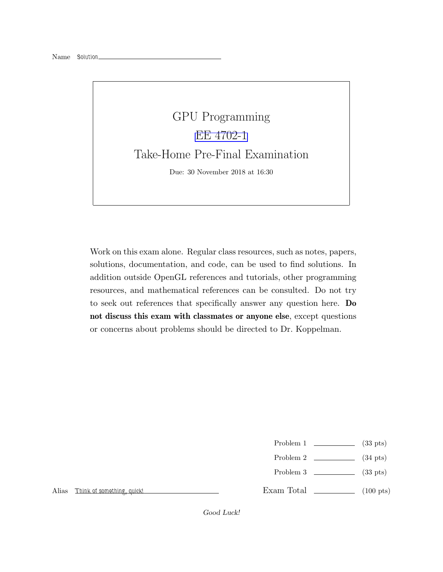

Work on this exam alone. Regular class resources, such as notes, papers, solutions, documentation, and code, can be used to find solutions. In addition outside OpenGL references and tutorials, other programming resources, and mathematical references can be consulted. Do not try to seek out references that specifically answer any question here. Do not discuss this exam with classmates or anyone else, except questions or concerns about problems should be directed to Dr. Koppelman.

- Problem 1  $\qquad \qquad$  (33 pts)
- Problem 2  $\qquad \qquad$  (34 pts)
- Problem 3 (33 pts)

Alias Think of something, quick!

Exam Total  $\qquad \qquad$  (100 pts)

Good Luck!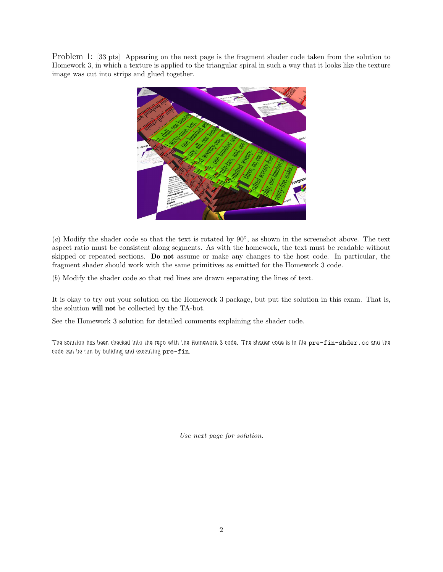Problem 1: [33 pts] Appearing on the next page is the fragment shader code taken from the solution to Homework 3, in which a texture is applied to the triangular spiral in such a way that it looks like the texture image was cut into strips and glued together.



(a) Modify the shader code so that the text is rotated by 90◦ , as shown in the screenshot above. The text aspect ratio must be consistent along segments. As with the homework, the text must be readable without skipped or repeated sections. Do not assume or make any changes to the host code. In particular, the fragment shader should work with the same primitives as emitted for the Homework 3 code.

(b) Modify the shader code so that red lines are drawn separating the lines of text.

It is okay to try out your solution on the Homework 3 package, but put the solution in this exam. That is, the solution will not be collected by the TA-bot.

See the Homework 3 solution for detailed comments explaining the shader code.

The solution has been checked into the repo with the Homework 3 code. The shader code is in file  $pre-fin-shder.c$  and the code can be run by building and executing pre-fin.

Use next page for solution.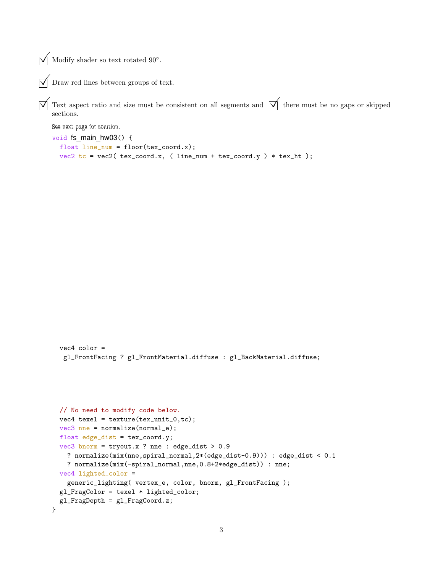$\sqrt{\phantom{a}}$  Modify shader so text rotated 90°.

```
\triangledown Draw red lines between groups of text.
```
 $\overline{\sqrt{\ }}$  Text aspect ratio and size must be consistent on all segments and  $\overline{\sqrt{\ }}$  there must be no gaps or skipped sections.

See next page for solution.

vec4 color =

}

```
void fs_main_hw03() {
  float line\_num = floor(text\_coord.x);vec2 tc = vec2 ( tex_coord.x, ( line_num + tex_coord.y ) * tex_ht );
```

```
gl_FrontFacing ? gl_FrontMaterial.diffuse : gl_BackMaterial.diffuse;
// No need to modify code below.
vec4 texel = texture(tex_unit_0,tc);
vec3 nne = normalize(normal_e);
float edge_dist = tex_coord.y;
vec3 bnorm = tryout.x ? nne : edge_dist > 0.9
  ? normalize(mix(nne,spiral_normal,2*(edge_dist-0.9))) : edge_dist < 0.1
  ? normalize(mix(-spiral_normal,nne,0.8+2*edge_dist)) : nne;
vec4 lighted_color =
  generic_lighting( vertex_e, color, bnorm, gl_FrontFacing );
gl_FragColor = texel * lighted_color;
gl_FragDepth = gl_FragCoord.z;
```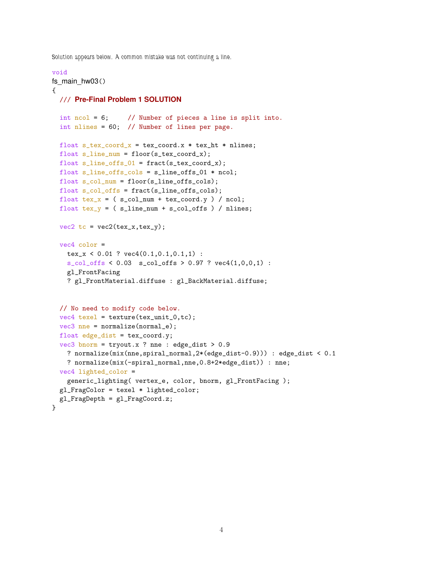Solution appears below. A common mistake was not continuing a line.

## void

```
fs main hw03(){
  /// Pre-Final Problem 1 SOLUTION
 int ncol = 6; // Number of pieces a line is split into.
 int nlines = 60; // Number of lines per page.
 float s_t = \text{cord}_x = \text{tex}_\text{coord.x} * \text{tex}_\text{ht} * \text{nlines};float s_line_num = floor(s_tex_ccord_x);float s_line_offs_01 = fract(s_tex_coord_x);
 float s_line_offs_cols = s_line_offs_01 * ncol;
 float s_col_num = floor(s_line_offs_cols);
 float s_col_offs = fract(s_line_offs_cols);
 float text\_x = (s_{col\_num} + \text{tex\_coord.y}) / \text{ncol};float tex_y = (s_{linenum} + s_{col_offs}) / nlines;
 vec2 tc = vec2(tex_x,tex_y);
 vec4 color =
   tex_x < 0.01 ? vec4(0.1,0.1,0.1,1) :
   s_{col\_offs} < 0.03 s_{col\_offs} > 0.97 ? vec4(1,0,0,1) :
    gl_FrontFacing
    ? gl_FrontMaterial.diffuse : gl_BackMaterial.diffuse;
  // No need to modify code below.
 vec4 texel = texture(tex_unit_0,tc);
 vec3 nne = normalize(normal_e);
 float edge_dist = tex_{cor}.y;
 vec3 bnorm = tryout.x ? nne : edge_dist > 0.9
    ? normalize(mix(nne,spiral_normal,2*(edge_dist-0.9))) : edge_dist < 0.1
    ? normalize(mix(-spiral_normal,nne,0.8+2*edge_dist)) : nne;
 vec4 lighted_color =
    generic_lighting( vertex_e, color, bnorm, gl_FrontFacing );
  gl_FragColor = texel * lighted_color;
 gl_FragDepth = gl_FragCoord.z;
}
```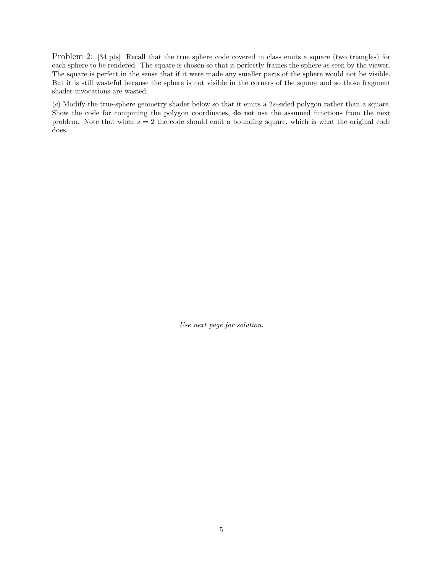Problem 2: [34 pts] Recall that the true sphere code covered in class emits a square (two triangles) for each sphere to be rendered. The square is chosen so that it perfectly frames the sphere as seen by the viewer. The square is perfect in the sense that if it were made any smaller parts of the sphere would not be visible. But it is still wasteful because the sphere is not visible in the corners of the square and so those fragment shader invocations are wasted.

(a) Modify the true-sphere geometry shader below so that it emits a 2s-sided polygon rather than a square. Show the code for computing the polygon coordinates, do not use the assumed functions from the next problem. Note that when  $s = 2$  the code should emit a bounding square, which is what the original code does.

Use next page for solution.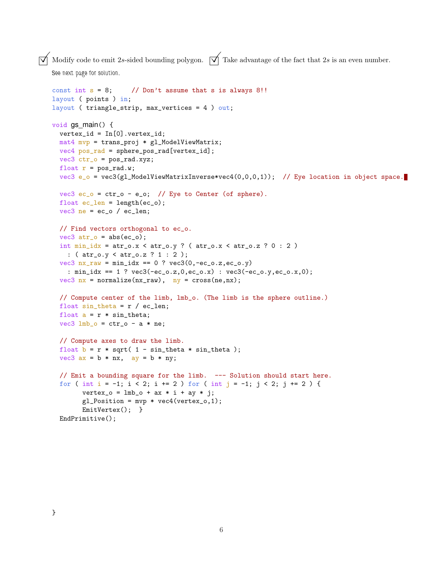$\overrightarrow{\bigtriangledown}$  Modify code to emit 2s-sided bounding polygon.  $\overrightarrow{\bigtriangledown}$  Take advantage of the fact that 2s is an even number. See next page for solution.

```
const int s = 8; // Don't assume that s is always 8!!
layout ( points ) in;
layout ( triangle_strip, max_vertices = 4 ) out;
void gs_main() {
 vertex_id = In[0].vertex_id;
 mat4 mvp = trans_proj * gl_ModelViewMatrix;
 vec4 pos_rad = sphere_pos_rad[vertex_id];
 vec3 ctr_0 = pos\_rad.xyz;
 float r = pos\_rad.w;vec3 e_o = vec3(gl_ModelViewMatrixInverse*vec4(0,0,0,1)); // Eye location in object space.
  vec3 ec_o = ctr_o - e_o; // Eye to Center (of sphere).
 float ec_len = length(ec_o);
 vec3 ne = ec_o / ec_len;
  // Find vectors orthogonal to ec_o.
  vec3 atr_0 = abs(ec_0);int min\_idx = atr_0.x < atr_0.y ? (atr_0.x < atr_0.z ? 0 : 2)
   : ( atr_o.y < atr_o.z ? 1 : 2 );
  vec3 nx_{raw} = min\_idx == 0 ? vec3(0, -ec_0.z, ec_0.y): min_idx == 1 ? vec3(-ec_o.z,0,ec_o.x) : vec3(-ec_o.y,ec_o.x,0);
  vec3 nx = normalize(nx_{raw}), ny = cross(ne, nx);// Compute center of the limb, lmb_o. (The limb is the sphere outline.)
  float sin\_theta = r / ec\_len;float a = r * sin_t theta;
  vec3 lmb_o = ctr_0 - a * ne;
  // Compute axes to draw the limb.
 float b = r * sqrt( 1 - sin\_theta * sin\_theta);
  vec3 ax = b * nx, ay = b * ny;
  // Emit a bounding square for the limb. --- Solution should start here.
  for ( int i = -1; i < 2; i += 2 ) for ( int j = -1; j < 2; j += 2 ) {
        vertex_0 = lmb_0 + ax * i + ay * j;gl_Position = mvp * vec4(vertex_0, 1);EmitVertex(); }
  EndPrimitive();
```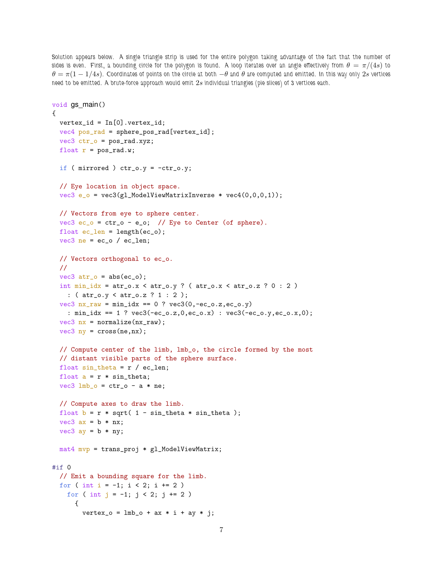Solution appears below. A single triangle strip is used for the entire polygon taking advantage of the fact that the number of sides is even. First, a bounding circle for the polygon is found. A loop iterates over an angle effectively from  $\theta = \pi/(4s)$  to  $\theta = \pi(1 - 1/4s)$ . Coordinates of points on the circle at both  $-\theta$  and  $\theta$  are computed and emitted. In this way only 2s vertices need to be emitted. A brute-force approach would emit 2s individual triangles (pie slices) of 3 vertices each.

```
void gs_main()
{
 vertex_id = In[0].vertex_id;vec4 pos_rad = sphere_pos_rad[vertex_id];
 vec3 ctr_o = pos_rad.xyz;
 float r = pos\_rad.w;if ( mirrored ) ctr_0.y = -ctr_0.y;// Eye location in object space.
  vec3 e_0 = vec3(gl_Mode1ViewMatrixInverse * vec4(0,0,0,1));// Vectors from eye to sphere center.
  vec3 ec_o = ctr_0 - e_o; // Eye to Center (of sphere).
  float ec_{len} = length(ec_{o});
  vec3 ne = ec_o / ec_len;
 // Vectors orthogonal to ec_o.
 //
 vec3 atr_0 = abs(ec_0);int min\_idx = atr\_o.x < atr\_o.y ? (atr\_o.x < atr\_o.z ? 0 : 2)
   : ( atr_o.y < atr_o.z ? 1 : 2 );
 vec3 nx_{raw} = min_{idx} == 0 ? vec3(0, -ec_{0}.z, ec_{0}.y): min_idx == 1 ? vec3(-ec_o.z,0,ec_o.x) : vec3(-ec_o.y,ec_o.x,0);
 vec3 nx = normalize(nx<sub>raw</sub>);
 vec3 ny = cross(ne,nx);
 // Compute center of the limb, lmb_o, the circle formed by the most
  // distant visible parts of the sphere surface.
 float sin\_theta = r / ec\_len;float a = r * sin\_theta;
 vec3 lmb_o = ctr_0 - a * ne;
  // Compute axes to draw the limb.
 float b = r * sqrt( 1 - sin\_theta * sin\_theta);
 vec3 ax = b * nx;
 vec3 ay = b * ny;
 mat4 mvp = trans_proj * gl_ModelViewMatrix;
\#if \Omega// Emit a bounding square for the limb.
 for ( int i = -1; i < 2; i += 2 )
    for ( int j = -1; j < 2; j += 2 )
      {
        vertex_0 = lmb_0 + ax * i + ay * j;
```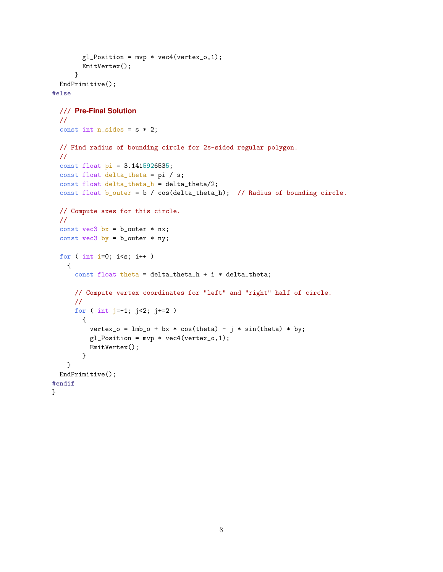```
gl_Position = mvp * vec4(vertex_0, 1);EmitVertex();
     }
  EndPrimitive();
#else
  /// Pre-Final Solution
  //
  const int n_s sides = s * 2;
 // Find radius of bounding circle for 2s-sided regular polygon.
  //
  const float pi = 3.1415926535;
  const float delta_theta = pi / s;
  const float delta_theta_h = delta_theta/2;
  const float b_outer = b / cos(delta_theta_h); // Radius of bounding circle.
 // Compute axes for this circle.
  //
  const vec3 bx = b_outer * nx;const vec3 by = b_outer * ny;
  for ( int i=0; i<s; i++ )
   {
     const float theta = delta_theta_h + i * delta_theta;
     // Compute vertex coordinates for "left" and "right" half of circle.
      //
     for ( int j=-1; j<2; j+=2 )
        {
          vertex_o = lmb_0 + bx * cos(theta) - j * sin(theta) * by;
          gl_Position = mvp * vec4(vertex_0, 1);EmitVertex();
        }
    }
 EndPrimitive();
#endif
}
```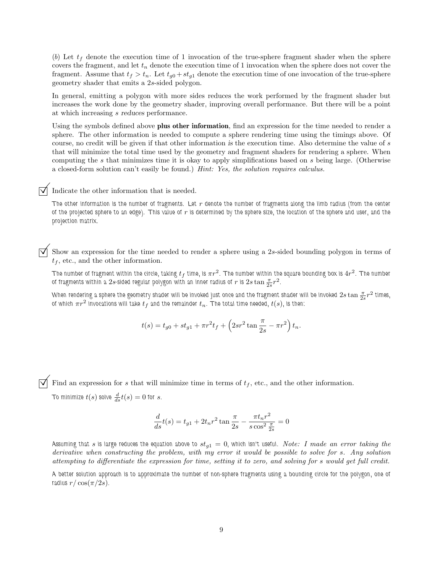(b) Let  $t_f$  denote the execution time of 1 invocation of the true-sphere fragment shader when the sphere covers the fragment, and let  $t_n$  denote the execution time of 1 invocation when the sphere does not cover the fragment. Assume that  $t_f > t_n$ . Let  $t_{g0} + st_{g1}$  denote the execution time of one invocation of the true-sphere geometry shader that emits a 2s-sided polygon.

In general, emitting a polygon with more sides reduces the work performed by the fragment shader but increases the work done by the geometry shader, improving overall performance. But there will be a point at which increasing s reduces performance.

Using the symbols defined above plus other information, find an expression for the time needed to render a sphere. The other information is needed to compute a sphere rendering time using the timings above. Of course, no credit will be given if that other information is the execution time. Also determine the value of s that will minimize the total time used by the geometry and fragment shaders for rendering a sphere. When computing the s that minimizes time it is okay to apply simplifications based on s being large. (Otherwise a closed-form solution can't easily be found.) Hint: Yes, the solution requires calculus.

## Indicate the other information that is needed.

The other information is the number of fragments. Let  $r$  denote the number of fragments along the limb radius (from the center of the projected sphere to an edge). This value of  $r$  is determined by the sphere size, the location of the sphere and user, and the projection matrix.

Show an expression for the time needed to render a sphere using a 2s-sided bounding polygon in terms of  $t_f$ , etc., and the other information.

The number of fragment within the circle, taking  $t_f$  time, is  $\pi r^2$ . The number within the square bounding box is  $4r^2$ . The number of fragments within a  $2s$ -sided regular polygon with an inner radius of  $r$  is  $2s\tan{\frac{\pi}{2s}}r^2$ .

When rendering a sphere the geometry shader will be invoked just once and the fragment shader will be invoked  $2s\tan{\frac{\pi}{2s}}r^2$  times, of which  $\pi r^2$  invocations will take  $t_f$  and the remainder  $t_n.$  The total time needed,  $t(s)$ , is then:

$$
t(s) = t_{g0} + st_{g1} + \pi r^2 t_f + \left(2sr^2 \tan \frac{\pi}{2s} - \pi r^2\right) t_n.
$$

Find an expression for s that will minimize time in terms of  $t_f$ , etc., and the other information. To minimize  $t(s)$  solve  $\frac{d}{ds}t(s)=0$  for  $s.$ 

$$
\frac{d}{ds}t(s) = t_{g1} + 2t_n r^2 \tan \frac{\pi}{2s} - \frac{\pi t_n r^2}{s \cos^2 \frac{\pi}{2s}} = 0
$$

Assuming that s is large reduces the equation above to  $st_{g1} = 0$ , which isn't useful. Note: I made an error taking the derivative when constructing the problem, with my error it would be possible to solve for s. Any solution attempting to differentiate the expression for time, setting it to zero, and solving for s would get full credit.

A better solution approach is to approximate the number of non-sphere fragments using a bounding circle for the polygon, one of radius  $r/\cos(\pi/2s)$ .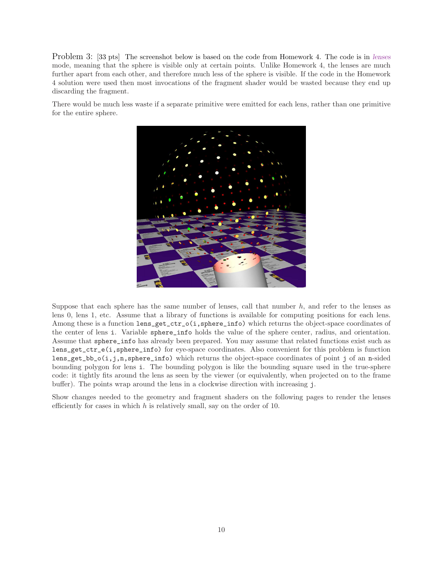Problem 3: [33 pts] The screenshot below is based on the code from Homework 4. The code is in lenses mode, meaning that the sphere is visible only at certain points. Unlike Homework 4, the lenses are much further apart from each other, and therefore much less of the sphere is visible. If the code in the Homework 4 solution were used then most invocations of the fragment shader would be wasted because they end up discarding the fragment.

There would be much less waste if a separate primitive were emitted for each lens, rather than one primitive for the entire sphere.



Suppose that each sphere has the same number of lenses, call that number  $h$ , and refer to the lenses as lens 0, lens 1, etc. Assume that a library of functions is available for computing positions for each lens. Among these is a function lens\_get\_ctr\_o(i,sphere\_info) which returns the object-space coordinates of the center of lens i. Variable sphere\_info holds the value of the sphere center, radius, and orientation. Assume that sphere\_info has already been prepared. You may assume that related functions exist such as lens\_get\_ctr\_e(i,sphere\_info) for eye-space coordinates. Also convenient for this problem is function lens\_get\_bb\_o(i,j,n,sphere\_info) which returns the object-space coordinates of point j of an n-sided bounding polygon for lens i. The bounding polygon is like the bounding square used in the true-sphere code: it tightly fits around the lens as seen by the viewer (or equivalently, when projected on to the frame buffer). The points wrap around the lens in a clockwise direction with increasing j.

Show changes needed to the geometry and fragment shaders on the following pages to render the lenses efficiently for cases in which  $h$  is relatively small, say on the order of 10.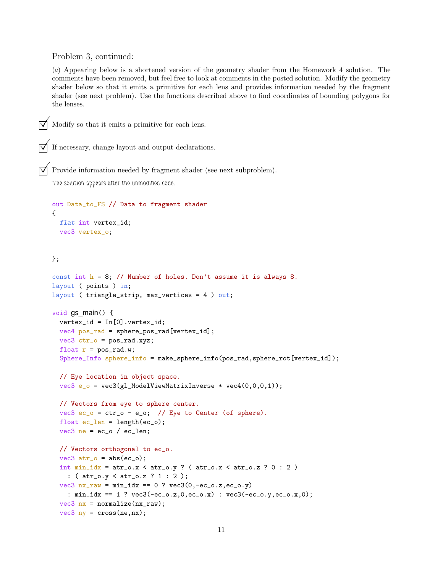Problem 3, continued:

(a) Appearing below is a shortened version of the geometry shader from the Homework 4 solution. The comments have been removed, but feel free to look at comments in the posted solution. Modify the geometry shader below so that it emits a primitive for each lens and provides information needed by the fragment shader (see next problem). Use the functions described above to find coordinates of bounding polygons for the lenses.



Modify so that it emits a primitive for each lens.

If necessary, change layout and output declarations.

 $\triangledown$  Provide information needed by fragment shader (see next subproblem).

The solution appears after the unmodified code.

```
out Data_to_FS // Data to fragment shader
{
  flat int vertex_id;
 vec3 vertex_o;
};
const int h = 8; // Number of holes. Don't assume it is always 8.
layout ( points ) in;
layout ( triangle_strip, max_vertices = 4 ) out;
void gs_main() {
  vertex_id = In[0].vertex_id;
  vec4 pos_rad = sphere_pos_rad[vertex_id];
  vec3 ctr_0 = pos\_rad.xyz;
  float r = pos\_rad.w;Sphere_Info sphere_info = make_sphere_info(pos_rad,sphere_rot[vertex_id]);
  // Eye location in object space.
  vec3 e_0 = vec3(g1_Mode1ViewMatrixInverse * vec4(0,0,0,1));// Vectors from eye to sphere center.
  vec3 ec_o = ctr_0 - e_o; // Eye to Center (of sphere).
  float ec_length = length(ec_0);vec3 ne = ec_o / ec_len;
  // Vectors orthogonal to ec_o.
  vec3 atr_0 = abs(ec_0);int min\_idx = atr_0.x < atr_0.y ? (atr_0.x < atr_0.z ? 0 : 2)
    : ( atr_o.y < atr_o.z ? 1 : 2 );
  vec3 nx_{raw} = min\_idx == 0 ? vec3(0, -ec_0.z, ec_0.y): min_idx == 1 ? vec3(-ec_o.z,0,ec_o.x) : vec3(-ec_o.y,ec_o.x,0);
  vec3 nx = normalize(nx_raw);
```

```
vec3 ny = cross(ne, nx);
```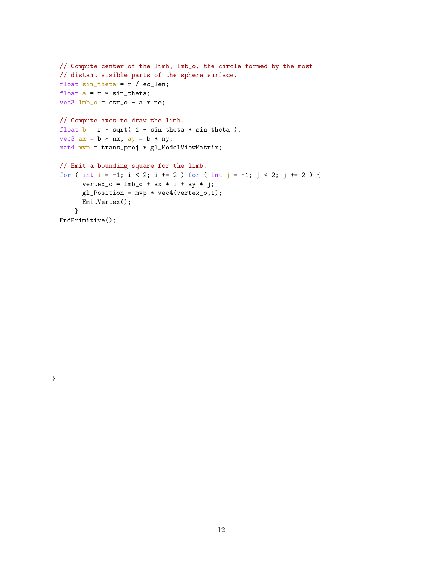```
// Compute center of the limb, lmb_o, the circle formed by the most
// distant visible parts of the sphere surface.
float sin\_theta = r / ec\_len;float a = r * sin\_theta;
vec3 lmb_o = ctr_0 - a * ne;
// Compute axes to draw the limb.
float b = r * sqrt( 1 - sin\_theta * sin\_theta);
vec3 ax = b * nx, ay = b * ny;
mat4 mvp = trans_proj * gl_ModelViewMatrix;
// Emit a bounding square for the limb.
for ( int i = -1; i < 2; i += 2 ) for ( int j = -1; j < 2; j += 2 ) {
      vertex_0 = lmb_0 + ax * i + ay * j;gl_Position = mvp * vec4(vertex_0, 1);EmitVertex();
    }
EndPrimitive();
```
12

}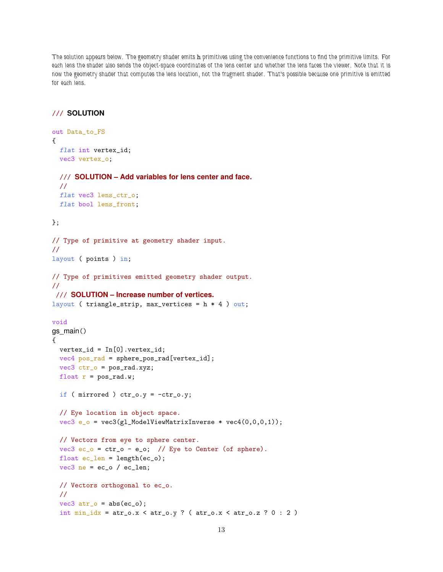The solution appears below. The geometry shader emits h primitives using the convenience functions to find the primitive limits. For each lens the shader also sends the object-space coordinates of the lens center and whether the lens faces the viewer. Note that it is now the geometry shader that computes the lens location, not the fragment shader. That's possible because one primitive is emitted for each lens.

## /// **SOLUTION**

```
out Data_to_FS
{
 flat int vertex_id;
 vec3 vertex_o;
 /// SOLUTION – Add variables for lens center and face.
  //
 flat vec3 lens_ctr_o;
 flat bool lens_front;
};
// Type of primitive at geometry shader input.
//
layout ( points ) in;
// Type of primitives emitted geometry shader output.
//
/// SOLUTION – Increase number of vertices.
layout ( triangle_strip, max_vertices = h * 4 ) out;
void
gs_main()
{
 vertex_id = In[0].vertex_id;vec4 pos_rad = sphere_pos_rad[vertex_id];
 vec3 ctr_0 = pos\_rad.xyz;
 float r = pos\_rad.w;if ( mirrored ) ctr_0.y = -ctr_0.y;// Eye location in object space.
  vec3 e_0 = vec3(gl_Mode1ViewMatrixInverse * vec4(0,0,0,1));// Vectors from eye to sphere center.
  vec3 ec_o = ctr_0 - e_o; // Eye to Center (of sphere).
  float ec_length = length(ec_0);vec3 ne = ec_o / ec_len;
  // Vectors orthogonal to ec_o.
  //
  vec3 atr_0 = abs(ec_0);int min\_idx = atr\_o.x \le atr\_o.y ? (atr\_o.x \le atr\_o.z ? 0 : 2)
```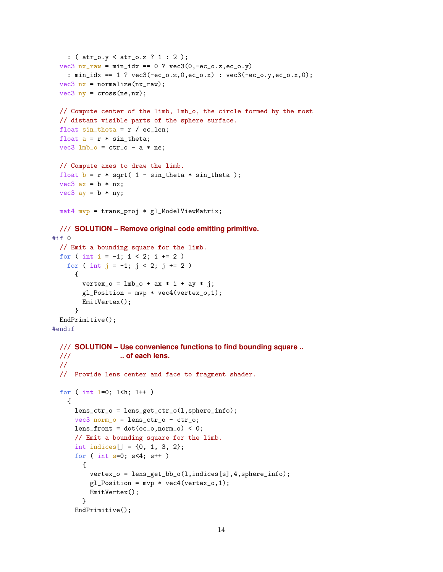```
: ( atr_o.y < atr_o.z ? 1 : 2 );
  vec3 nx_{raw} = min\_idx == 0 ? vec3(0, -ec_0.z, ec_0.y): min_idx == 1 ? vec3(-ec_o.z,0,ec_o.x) : vec3(-ec_o.y,ec_o.x,0);
  vec3 nx = normalize(nx_raw);
  vec3 ny = cross(ne, nx);
 // Compute center of the limb, lmb_o, the circle formed by the most
  // distant visible parts of the sphere surface.
  float sin\_theta = r / ec\_len;float a = r * sin_{th}eta;
 vec3 lmb_o = ctr_0 - a * ne;
 // Compute axes to draw the limb.
 float b = r * sqrt( 1 - sin\_theta * sin\_theta);
 vec3 ax = b * nx;
 vec3 ay = b * ny;mat4 mvp = trans_proj * gl_ModelViewMatrix;
 /// SOLUTION – Remove original code emitting primitive.
#if 0
  // Emit a bounding square for the limb.
 for ( int i = -1; i < 2; i += 2 )
    for ( int j = -1; j < 2; j += 2 )
      {
        vertex_0 = lmb_0 + ax * i + ay * j;gl_Position = mvp * vec4(vertex_0, 1);EmitVertex();
      }
 EndPrimitive();
#endif
  /// SOLUTION – Use convenience functions to find bounding square ..
 /// .. of each lens.
  //
  // Provide lens center and face to fragment shader.
  for ( int \, 1=0; \, 1 \, \text{th}; \, 1++ )
   {
     lens_ctr_o = lens_get_ctr_o(l,sphere_info);
      vec3 norm_o = lens_ctr_o - ctr_o;
      lens_front = dot(ec_o, norm_o) < 0;// Emit a bounding square for the limb.
      int indices[] = {0, 1, 3, 2};
      for ( int s=0; s<4; s++ )
        {
          vertex_o = lens_get_bb_o(l,indices[s],4,sphere_info);
          gl_Position = mvp * vec4(vertex_0, 1);EmitVertex();
        }
      EndPrimitive();
```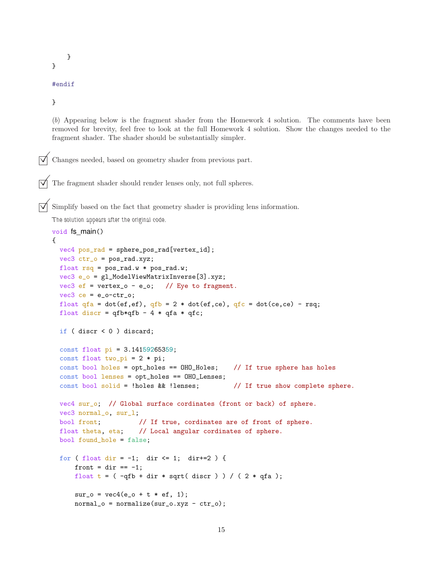}

}

```
#endif
```
}

(b) Appearing below is the fragment shader from the Homework 4 solution. The comments have been removed for brevity, feel free to look at the full Homework 4 solution. Show the changes needed to the fragment shader. The shader should be substantially simpler.

Changes needed, based on geometry shader from previous part.

The fragment shader should render lenses only, not full spheres.

Simplify based on the fact that geometry shader is providing lens information.

The solution appears after the original code.

```
void fs_main()
{
 vec4 pos_rad = sphere_pos_rad[vertex_id];
 vec3 ctr_0 = pos\_rad.xyz;float rsq = pos\_rad.w * pos\_rad.w;vec3 e_o = gl_ModelViewMatrixInverse[3].xyz;
 vec3 ef = vertex_o - e_o; // Eye to fragment.
 vec3 ce = e_o-ctr_o;
 float qfa = dot(ef,ef), qfb = 2 * dot(ef,ce), qfc = dot(ce,ce) - rsq;float discr = qfb*qfb - 4 * qfa * qfc;if ( discr < 0 ) discard;
 const float pi = 3.14159265359;
 const float two_pi = 2 * pi;
 const bool holes = opt_holes == 0H0_H0les; // If true sphere has holes
 const bool lenses = opt_holes == OHO_Lenses;
 const bool solid = !holes && !lenses; // If true show complete sphere.
 vec4 sur_o; // Global surface cordinates (front or back) of sphere.
 vec3 normal_o, sur_l;
 bool front; // If true, cordinates are of front of sphere.
 float theta, eta; // Local angular cordinates of sphere.
 bool found_hole = false;
 for ( float dir = -1; dir <= 1; dir +=2 ) {
     front = dir == -1;
     float t = (-qfb + dir * sqrt(discr)) / (2 * qfa);sur_0 = vec4(e_0 + t * ef, 1);normal_0 = normalize(sur_0.xyz - ctr_0);
```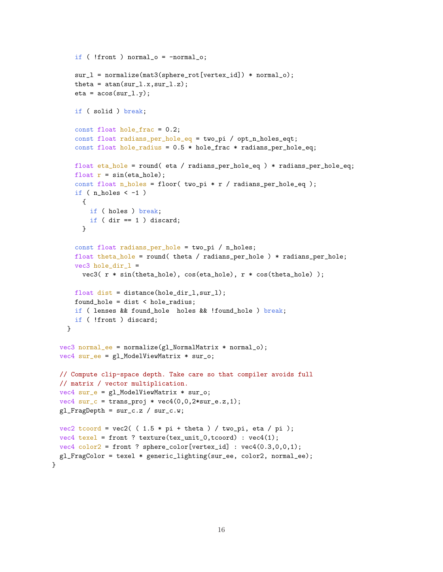```
if ( !front ) normal_o = -normal_o;
    sur_l = normalize(mat3(sphere_rot[vertex_id]) * normal_o);
    theta = atan(sur_l.x,sur_l.z);
    eta = a \cos(sur_l.y);if ( solid ) break;
    const float hole_frac = 0.2;
    const float radians_per_hole_eq = two_pi / opt_n_holes_eqt;
    const float hole_radius = 0.5 * hole\_frac * radius\_per\_hole\_eq;float eta_hole = round( eta / radians_per_hole_eq ) * radians_per_hole_eq;
    float r = sin(eta_{hole});const float n_holes = floor( two_pi * r / radians_per_hole_eq );
    if (n\_holes < -1)
      {
       if ( holes ) break;
       if ( dir == 1 ) discard;
      }
    const float radians_per_hole = two_pi / n_holes;
    float theta_hole = round( theta / radians_per_hole ) * radians_per_hole;
    vec3 hole_dir_l =
     vec3( r * sin(theta_hole), cos(eta_hole), r * cos(theta_hole) );
   float dist = distance(hole_dir_l,sur_l);
    found_hole = dist < hole_radius;
   if ( lenses && found_hole holes && !found_hole ) break;
    if ( !front ) discard;
  }
vec3 normal_ee = normalize(gl_NormalMatrix * normal_o);
vec4 sur_ee = gl_ModelViewMatrix * sur_o;
// Compute clip-space depth. Take care so that compiler avoids full
// matrix / vector multiplication.
vec4 sur_e = gl_ModelViewMatrix * sur_o;
vec4 sur_c = trans_proj * vec4(0,0,2*sur_e.z,1);gl_FragDepth = sur_c.z / sur_c.w;vec2 tcoord = vec2( (1.5 * pi + theta) / twopi, eta / pi );
vec4 texel = front ? texture(tex_unit_0,tcoord) : vec4(1);
vec4 color2 = front ? sphere_color[vertex_id] : vec4(0.3,0,0,1);
gl_FragColor = texel * generic_lighting(sur_ee, color2, normal_ee);
```
}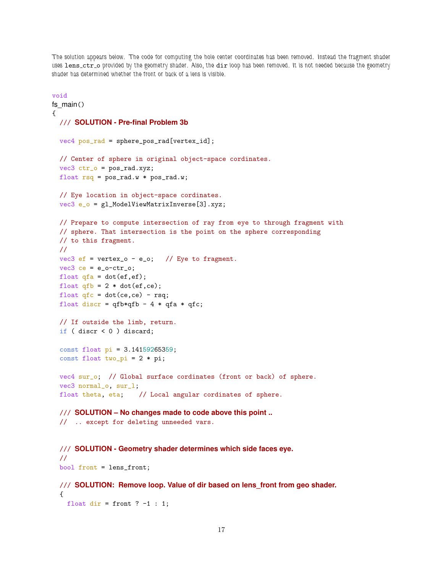The solution appears below. The code for computing the hole center coordinates has been removed. Instead the fragment shader uses lens\_ctr\_o provided by the geometry shader. Also, the dir loop has been removed. It is not needed because the geometry shader has determined whether the front or back of a lens is visible.

```
void
fs main(){
 /// SOLUTION - Pre-final Problem 3b
  vec4 pos_rad = sphere_pos_rad[vertex_id];
 // Center of sphere in original object-space cordinates.
  vec3 ctr_0 = pos\_rad.xyz;float rsq = pos\_rad.w * pos\_rad.w;// Eye location in object-space cordinates.
  vec3 e_o = gl_ModelViewMatrixInverse[3].xyz;
  // Prepare to compute intersection of ray from eye to through fragment with
  // sphere. That intersection is the point on the sphere corresponding
  // to this fragment.
 //
 vec3 ef = vertex_o - e_o; // Eye to fragment.
  vec3 ce = e_0-ctr_0;
 float qfa = dot(ef, ef);float qfb = 2 * dot(ef, ce);float qfc = dot(ce, ce) - rsq;float discr = qfb*qfb - 4 * qfa * qfc;// If outside the limb, return.
  if ( discr < 0 ) discard;
  const float pi = 3.14159265359;
  const float two_pi = 2 * pi;
  vec4 sur_o; // Global surface cordinates (front or back) of sphere.
  vec3 normal_o, sur_l;
  float theta, eta; // Local angular cordinates of sphere.
 /// SOLUTION – No changes made to code above this point ..
  // .. except for deleting unneeded vars.
  /// SOLUTION - Geometry shader determines which side faces eye.
  //
  bool front = lens_front;
  /// SOLUTION: Remove loop. Value of dir based on lens_front from geo shader.
  {
   float dir = front ? -1 : 1;
```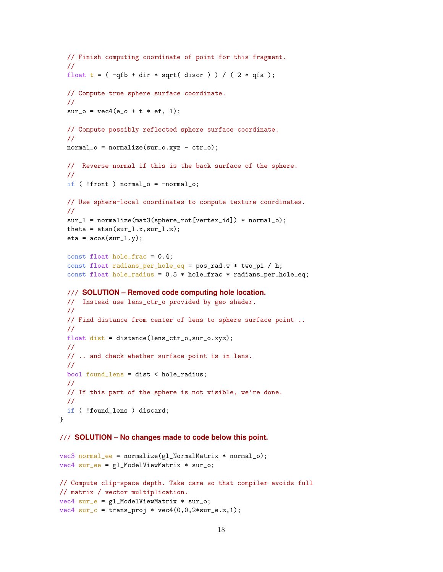```
// Finish computing coordinate of point for this fragment.
  //
 float t = (-qfb + dir * sqrt(discr)) / (2 * qfa);// Compute true sphere surface coordinate.
 //
 sur_0 = vec4(e_0 + t * ef, 1);// Compute possibly reflected sphere surface coordinate.
 //
 normal_o = normalize(sur_o.xyz - ctr_o);// Reverse normal if this is the back surface of the sphere.
 //
 if ( !front ) normal_o = -normal_o;
 // Use sphere-local coordinates to compute texture coordinates.
 //
 sur_l = normalize(mat3(sphere_rot[vertex_id]) * normal_o);
 theta = atan(sur_l.x,sur_l.z);
 eta = a \cos(sur_1, y);
 const float hole_frac = 0.4;
 const float radians_per_hole_eq = pos_rad.w * two_pi / h;
 const float hole_radius = 0.5 * hole_frac * radians_per_hole_eq;
 /// SOLUTION – Removed code computing hole location.
 // Instead use lens_ctr_o provided by geo shader.
 //
 // Find distance from center of lens to sphere surface point ..
 //
 float dist = distance(lens_ctr_o,sur_o.xyz);
 //
 // .. and check whether surface point is in lens.
 //
 bool found_lens = dist < hole_radius;
 //
 // If this part of the sphere is not visible, we're done.
 //
 if ( !found_lens ) discard;
}
```
## /// **SOLUTION – No changes made to code below this point.**

```
vec3 normal_ee = normalize(gl_NormalMatrix * normal_o);
vec4 sur_ee = gl_ModelViewMatrix * sur_o;
// Compute clip-space depth. Take care so that compiler avoids full
// matrix / vector multiplication.
vec4 sur_e = gl_ModelViewMatrix * sur_o;
vec4 sur_c = trans_proj * vec4(0,0,2*sur_e.z,1);
```